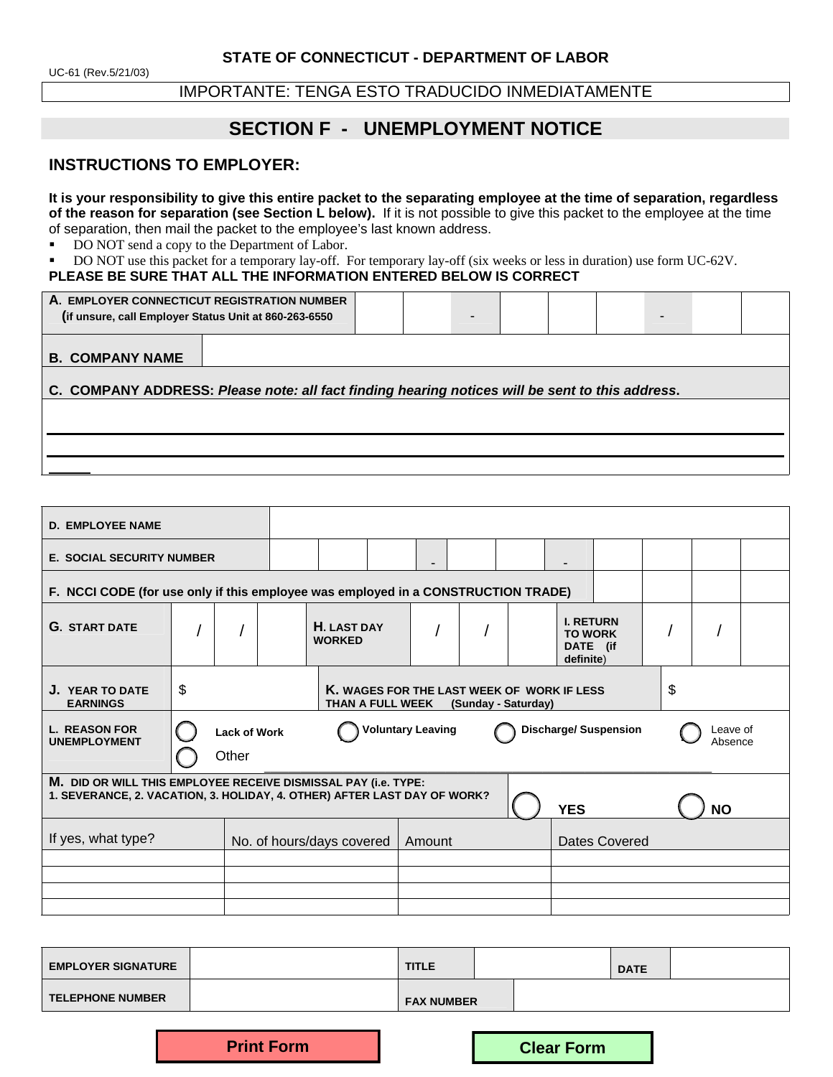IMPORTANTE: TENGA ESTO TRADUCIDO INMEDIATAMENTE

# **SECTION F - UNEMPLOYMENT NOTICE**

## **INSTRUCTIONS TO EMPLOYER:**

**It is your responsibility to give this entire packet to the separating employee at the time of separation, regardless of the reason for separation (see Section L below).** If it is not possible to give this packet to the employee at the time of separation, then mail the packet to the employee's last known address.

DO NOT send a copy to the Department of Labor.

DO NOT use this packet for a temporary lay-off. For temporary lay-off (six weeks or less in duration) use form UC-62V.

### **PLEASE BE SURE THAT ALL THE INFORMATION ENTERED BELOW IS CORRECT**

| A. EMPLOYER CONNECTICUT REGISTRATION NUMBER<br>(if unsure, call Employer Status Unit at 860-263-6550 |  |  |  |  |  |  |  | - |  |
|------------------------------------------------------------------------------------------------------|--|--|--|--|--|--|--|---|--|
| <b>B. COMPANY NAME</b>                                                                               |  |  |  |  |  |  |  |   |  |
| C. COMPANY ADDRESS: Please note: all fact finding hearing notices will be sent to this address.      |  |  |  |  |  |  |  |   |  |
|                                                                                                      |  |  |  |  |  |  |  |   |  |
|                                                                                                      |  |  |  |  |  |  |  |   |  |
|                                                                                                      |  |  |  |  |  |  |  |   |  |

| <b>E. SOCIAL SECURITY NUMBER</b>                                                                                                                               |                                                                                                                 |  |  |               | -                  |  |  |                                                                                   |                                                             |  |  |
|----------------------------------------------------------------------------------------------------------------------------------------------------------------|-----------------------------------------------------------------------------------------------------------------|--|--|---------------|--------------------|--|--|-----------------------------------------------------------------------------------|-------------------------------------------------------------|--|--|
|                                                                                                                                                                |                                                                                                                 |  |  |               |                    |  |  |                                                                                   |                                                             |  |  |
|                                                                                                                                                                |                                                                                                                 |  |  |               |                    |  |  |                                                                                   |                                                             |  |  |
| \$<br>\$<br>K. WAGES FOR THE LAST WEEK OF WORK IF LESS<br>J. YEAR TO DATE<br><b>EARNINGS</b><br>THAN A FULL WEEK<br>(Sunday - Saturday)                        |                                                                                                                 |  |  |               |                    |  |  |                                                                                   |                                                             |  |  |
|                                                                                                                                                                | <b>Voluntary Leaving</b><br><b>Discharge/ Suspension</b><br>Leave of<br><b>Lack of Work</b><br>Absence<br>Other |  |  |               |                    |  |  |                                                                                   |                                                             |  |  |
| M. DID OR WILL THIS EMPLOYEE RECEIVE DISMISSAL PAY (i.e. TYPE:<br>1. SEVERANCE, 2. VACATION, 3. HOLIDAY, 4. OTHER) AFTER LAST DAY OF WORK?<br><b>YES</b><br>NΩ |                                                                                                                 |  |  |               |                    |  |  |                                                                                   |                                                             |  |  |
| If yes, what type?<br>Dates Covered<br>No. of hours/days covered<br>Amount                                                                                     |                                                                                                                 |  |  |               |                    |  |  |                                                                                   |                                                             |  |  |
|                                                                                                                                                                |                                                                                                                 |  |  |               |                    |  |  |                                                                                   |                                                             |  |  |
|                                                                                                                                                                |                                                                                                                 |  |  |               |                    |  |  |                                                                                   |                                                             |  |  |
|                                                                                                                                                                |                                                                                                                 |  |  | <b>WORKED</b> | <b>H. LAST DAY</b> |  |  | F. NCCI CODE (for use only if this employee was employed in a CONSTRUCTION TRADE) | <b>I. RETURN</b><br><b>TO WORK</b><br>DATE (if<br>definite) |  |  |

| <b>EMPLOYER SIGNATURE</b> | <b>TITLE</b>      |  | <b>DATE</b> |  |
|---------------------------|-------------------|--|-------------|--|
| <b>TELEPHONE NUMBER</b>   | <b>FAX NUMBER</b> |  |             |  |

**Print Form Clear Form**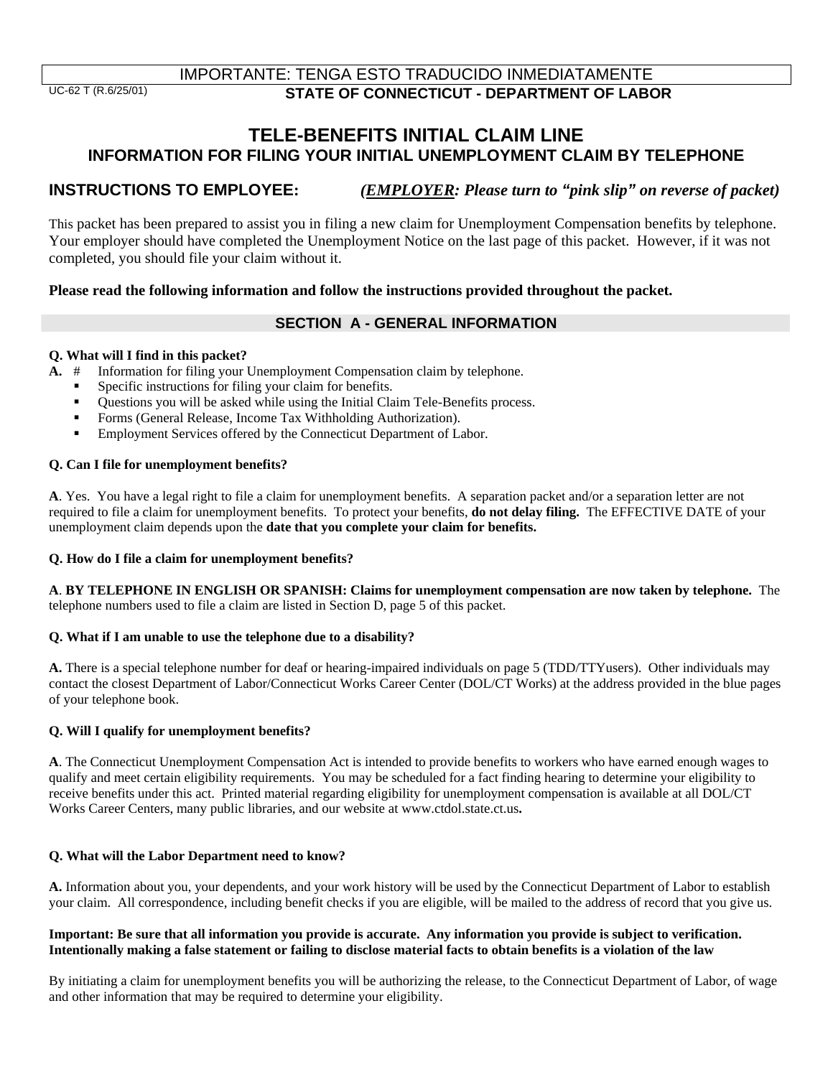# **TELE-BENEFITS INITIAL CLAIM LINE INFORMATION FOR FILING YOUR INITIAL UNEMPLOYMENT CLAIM BY TELEPHONE**

# **INSTRUCTIONS TO EMPLOYEE:** *(EMPLOYER: Please turn to "pink slip" on reverse of packet)*

This packet has been prepared to assist you in filing a new claim for Unemployment Compensation benefits by telephone. Your employer should have completed the Unemployment Notice on the last page of this packet. However, if it was not completed, you should file your claim without it.

### **Please read the following information and follow the instructions provided throughout the packet.**

## **SECTION A - GENERAL INFORMATION**

### **Q. What will I find in this packet?**

- **A.** # Information for filing your Unemployment Compensation claim by telephone.
	- Specific instructions for filing your claim for benefits.
	- Questions you will be asked while using the Initial Claim Tele-Benefits process.
	- Forms (General Release, Income Tax Withholding Authorization).
	- Employment Services offered by the Connecticut Department of Labor.

### **Q. Can I file for unemployment benefits?**

**A**. Yes. You have a legal right to file a claim for unemployment benefits. A separation packet and/or a separation letter are not required to file a claim for unemployment benefits. To protect your benefits, **do not delay filing.** The EFFECTIVE DATE of your unemployment claim depends upon the **date that you complete your claim for benefits.**

#### **Q. How do I file a claim for unemployment benefits?**

**A**. **BY TELEPHONE IN ENGLISH OR SPANISH: Claims for unemployment compensation are now taken by telephone.** The telephone numbers used to file a claim are listed in Section D, page 5 of this packet.

#### **Q. What if I am unable to use the telephone due to a disability?**

**A.** There is a special telephone number for deaf or hearing-impaired individuals on page 5 (TDD/TTYusers). Other individuals may contact the closest Department of Labor/Connecticut Works Career Center (DOL/CT Works) at the address provided in the blue pages of your telephone book.

#### **Q. Will I qualify for unemployment benefits?**

**A**. The Connecticut Unemployment Compensation Act is intended to provide benefits to workers who have earned enough wages to qualify and meet certain eligibility requirements. You may be scheduled for a fact finding hearing to determine your eligibility to receive benefits under this act. Printed material regarding eligibility for unemployment compensation is available at all DOL/CT Works Career Centers, many public libraries, and our website at www.ctdol.state.ct.us**.** 

#### **Q. What will the Labor Department need to know?**

**A.** Information about you, your dependents, and your work history will be used by the Connecticut Department of Labor to establish your claim. All correspondence, including benefit checks if you are eligible, will be mailed to the address of record that you give us.

#### **Important: Be sure that all information you provide is accurate. Any information you provide is subject to verification. Intentionally making a false statement or failing to disclose material facts to obtain benefits is a violation of the law**

By initiating a claim for unemployment benefits you will be authorizing the release, to the Connecticut Department of Labor, of wage and other information that may be required to determine your eligibility.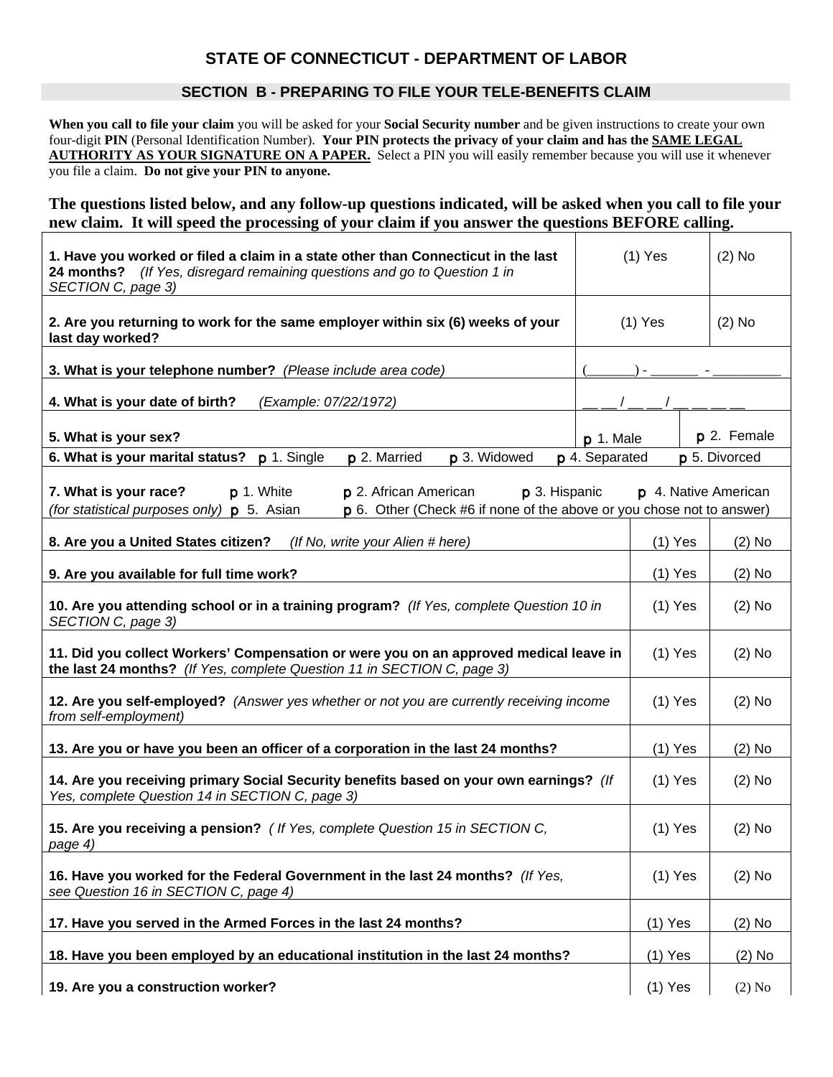# **STATE OF CONNECTICUT - DEPARTMENT OF LABOR**

### **SECTION B - PREPARING TO FILE YOUR TELE-BENEFITS CLAIM**

**When you call to file your claim** you will be asked for your **Social Security number** and be given instructions to create your own four-digit **PIN** (Personal Identification Number). **Your PIN protects the privacy of your claim and has the SAME LEGAL AUTHORITY AS YOUR SIGNATURE ON A PAPER.** Select a PIN you will easily remember because you will use it whenever you file a claim. **Do not give your PIN to anyone.** 

**The questions listed below, and any follow-up questions indicated, will be asked when you call to file your new claim. It will speed the processing of your claim if you answer the questions BEFORE calling.**

| 1. Have you worked or filed a claim in a state other than Connecticut in the last<br>24 months? (If Yes, disregard remaining questions and go to Question 1 in<br>SECTION C, page 3)                        |                | $(1)$ Yes |                      | $(2)$ No |
|-------------------------------------------------------------------------------------------------------------------------------------------------------------------------------------------------------------|----------------|-----------|----------------------|----------|
| 2. Are you returning to work for the same employer within six (6) weeks of your<br>last day worked?                                                                                                         |                | $(1)$ Yes | $(2)$ No             |          |
| 3. What is your telephone number? (Please include area code)                                                                                                                                                |                |           |                      |          |
| 4. What is your date of birth?<br>(Example: 07/22/1972)                                                                                                                                                     |                |           |                      |          |
| 5. What is your sex?                                                                                                                                                                                        | $p$ 1. Male    |           | p 2. Female          |          |
| p 2. Married<br>p 3. Widowed<br>6. What is your marital status? p 1. Single                                                                                                                                 | p 4. Separated |           | p 5. Divorced        |          |
| 7. What is your race?<br>p 1. White<br>p 2. African American<br>p 3. Hispanic<br>p 6. Other (Check #6 if none of the above or you chose not to answer)<br>(for statistical purposes only) <b>p</b> 5. Asian |                |           | p 4. Native American |          |
| 8. Are you a United States citizen?<br>(If No, write your Alien # here)                                                                                                                                     |                | $(1)$ Yes |                      | $(2)$ No |
| 9. Are you available for full time work?                                                                                                                                                                    |                | $(1)$ Yes |                      | $(2)$ No |
| 10. Are you attending school or in a training program? (If Yes, complete Question 10 in<br>SECTION C, page 3)                                                                                               | $(1)$ Yes      |           | $(2)$ No             |          |
| 11. Did you collect Workers' Compensation or were you on an approved medical leave in<br>the last 24 months? (If Yes, complete Question 11 in SECTION C, page 3)                                            |                | $(1)$ Yes |                      | $(2)$ No |
| 12. Are you self-employed? (Answer yes whether or not you are currently receiving income<br>from self-employment)                                                                                           |                | $(1)$ Yes |                      | $(2)$ No |
| 13. Are you or have you been an officer of a corporation in the last 24 months?                                                                                                                             |                | $(1)$ Yes |                      | $(2)$ No |
| 14. Are you receiving primary Social Security benefits based on your own earnings? (If<br>Yes, complete Question 14 in SECTION C, page 3)                                                                   |                | $(1)$ Yes |                      | $(2)$ No |
| 15. Are you receiving a pension? ( If Yes, complete Question 15 in SECTION C,<br>page 4)                                                                                                                    |                | $(1)$ Yes |                      | $(2)$ No |
| 16. Have you worked for the Federal Government in the last 24 months? (If Yes,<br>see Question 16 in SECTION C, page 4)                                                                                     |                | $(1)$ Yes |                      | $(2)$ No |
| 17. Have you served in the Armed Forces in the last 24 months?                                                                                                                                              |                | $(1)$ Yes |                      | $(2)$ No |
| 18. Have you been employed by an educational institution in the last 24 months?                                                                                                                             |                | $(1)$ Yes |                      | $(2)$ No |
| 19. Are you a construction worker?                                                                                                                                                                          |                | $(1)$ Yes |                      | $(2)$ No |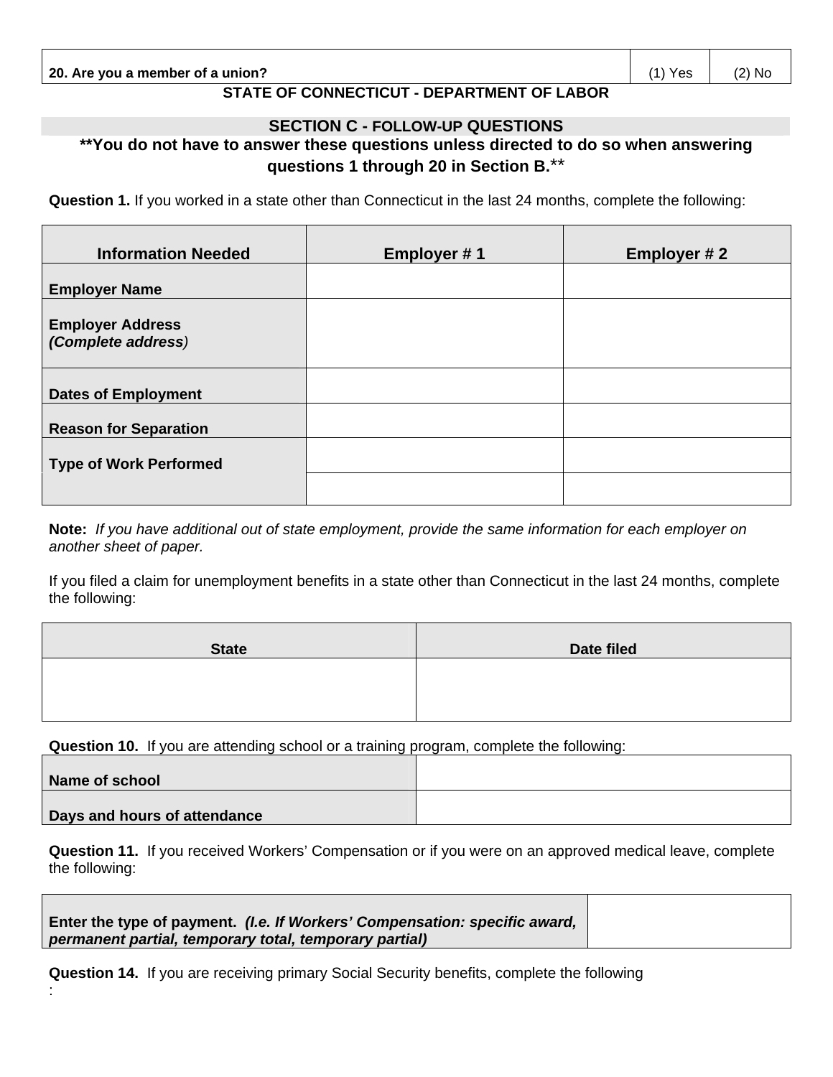**20. Are you a member of a union?** (1) Yes (2) No

# **STATE OF CONNECTICUT - DEPARTMENT OF LABOR**

### **SECTION C - FOLLOW-UP QUESTIONS**

# **\*\*You do not have to answer these questions unless directed to do so when answering questions 1 through 20 in Section B.**\*\*

**Question 1.** If you worked in a state other than Connecticut in the last 24 months, complete the following:

| <b>Information Needed</b>                     | <b>Employer #1</b> | Employer #2 |
|-----------------------------------------------|--------------------|-------------|
| <b>Employer Name</b>                          |                    |             |
| <b>Employer Address</b><br>(Complete address) |                    |             |
| <b>Dates of Employment</b>                    |                    |             |
| <b>Reason for Separation</b>                  |                    |             |
| <b>Type of Work Performed</b>                 |                    |             |
|                                               |                    |             |

**Note:** *If you have additional out of state employment, provide the same information for each employer on another sheet of paper.*

If you filed a claim for unemployment benefits in a state other than Connecticut in the last 24 months, complete the following:

| <b>State</b> | Date filed |
|--------------|------------|
|              |            |
|              |            |

**Question 10.** If you are attending school or a training program, complete the following:

| Name of school               |  |
|------------------------------|--|
| Days and hours of attendance |  |

**Question 11.** If you received Workers' Compensation or if you were on an approved medical leave, complete the following:

**Enter the type of payment.** *(I.e. If Workers' Compensation: specific award, permanent partial, temporary total, temporary partial)*

:

**Question 14.** If you are receiving primary Social Security benefits, complete the following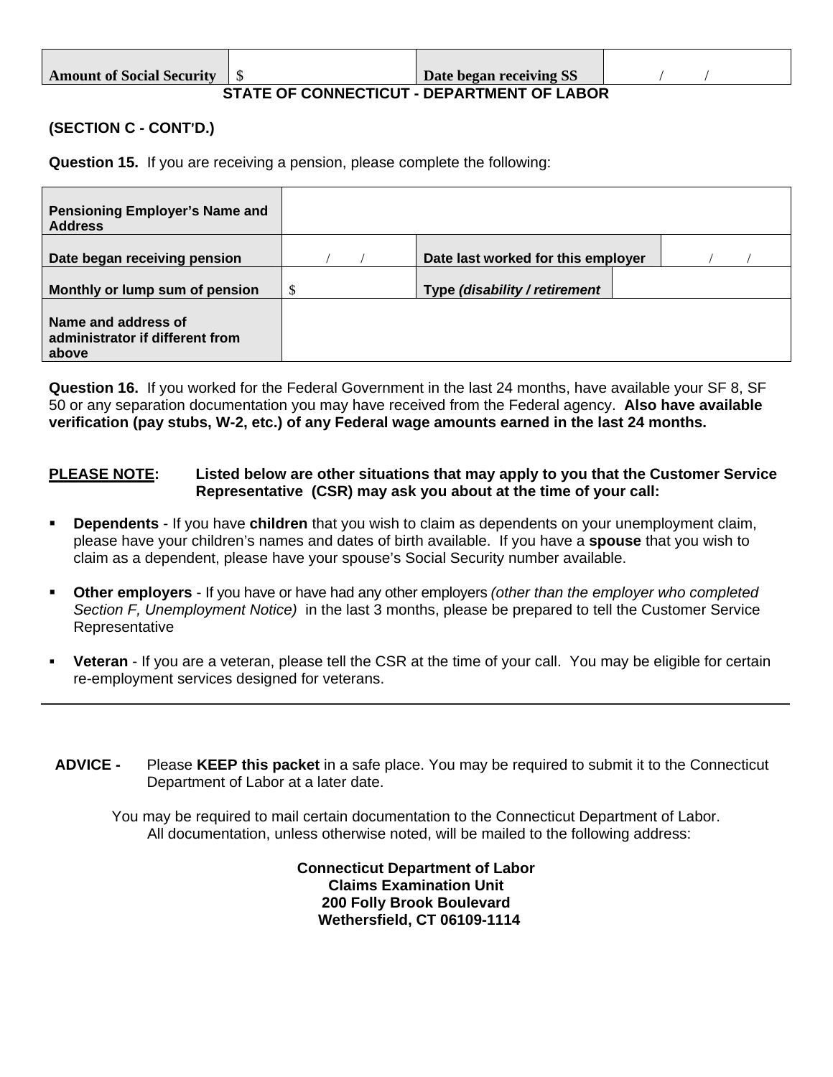| <b>Amount of Social Security</b>           |  | Date began receiving SS |  |  |  |  |
|--------------------------------------------|--|-------------------------|--|--|--|--|
| STATE OF CONNECTICIIT, DEDADTMENT OF LAROP |  |                         |  |  |  |  |

## **STATE OF CONNECTICUT - DEPARTMENT OF LABOR**

## **(SECTION C - CONT'D.)**

**Question 15.** If you are receiving a pension, please complete the following:

| Pensioning Employer's Name and<br><b>Address</b>                |   |                                    |  |
|-----------------------------------------------------------------|---|------------------------------------|--|
| Date began receiving pension                                    |   | Date last worked for this employer |  |
| Monthly or lump sum of pension                                  | S | Type (disability / retirement      |  |
| Name and address of<br>administrator if different from<br>above |   |                                    |  |

**Question 16.** If you worked for the Federal Government in the last 24 months, have available your SF 8, SF 50 or any separation documentation you may have received from the Federal agency. **Also have available verification (pay stubs, W-2, etc.) of any Federal wage amounts earned in the last 24 months.**

### **PLEASE NOTE: Listed below are other situations that may apply to you that the Customer Service Representative (CSR) may ask you about at the time of your call:**

- **Dependents** If you have **children** that you wish to claim as dependents on your unemployment claim, please have your children's names and dates of birth available. If you have a **spouse** that you wish to claim as a dependent, please have your spouse's Social Security number available.
- **Other employers**  If you have or have had any other employers *(other than the employer who completed Section F, Unemployment Notice)* in the last 3 months, please be prepared to tell the Customer Service Representative
- **Veteran**  If you are a veteran, please tell the CSR at the time of your call. You may be eligible for certain re-employment services designed for veterans.

**ADVICE -** Please **KEEP this packet** in a safe place. You may be required to submit it to the Connecticut Department of Labor at a later date.

You may be required to mail certain documentation to the Connecticut Department of Labor. All documentation, unless otherwise noted, will be mailed to the following address:

> **Connecticut Department of Labor Claims Examination Unit 200 Folly Brook Boulevard Wethersfield, CT 06109-1114**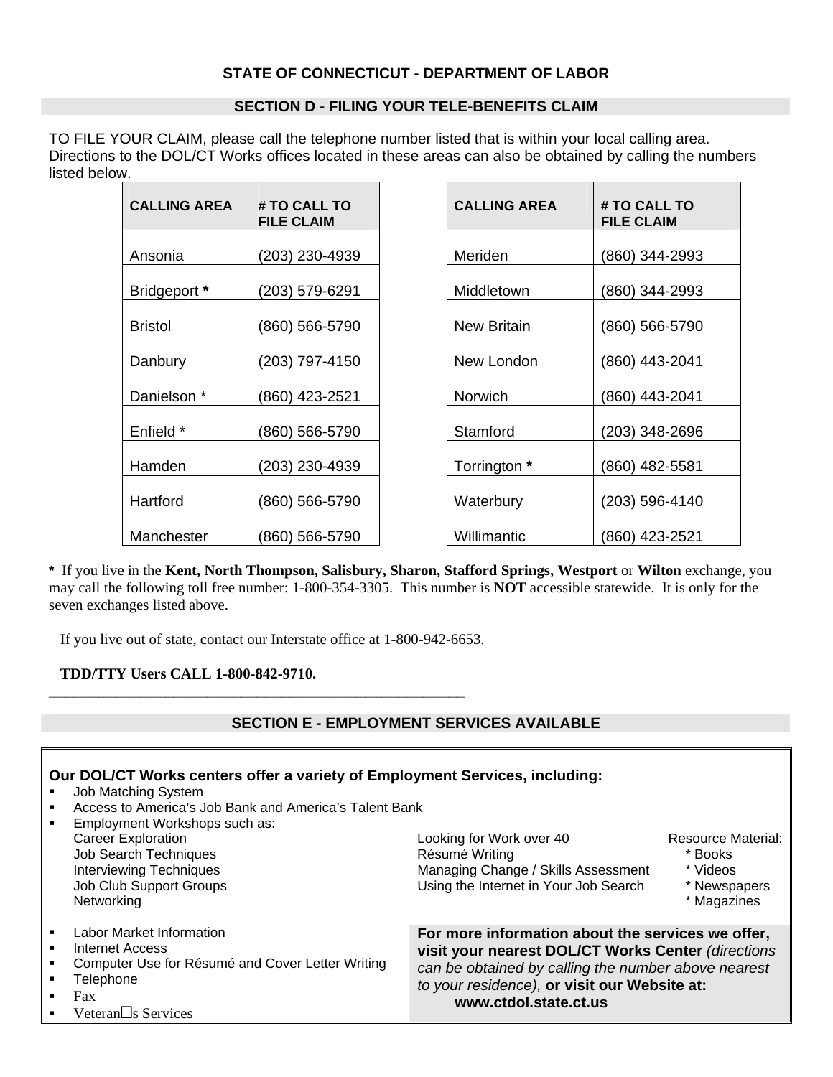## **STATE OF CONNECTICUT - DEPARTMENT OF LABOR**

### **SECTION D - FILING YOUR TELE-BENEFITS CLAIM**

TO FILE YOUR CLAIM, please call the telephone number listed that is within your local calling area. Directions to the DOL/CT Works offices located in these areas can also be obtained by calling the numbers listed below.

| <b>CALLING AREA</b>    | # TO CALL TO<br><b>FILE CLAIM</b> | <b>CALLING AREA</b> | # TO CALL TO<br><b>FILE CLAIM</b> |
|------------------------|-----------------------------------|---------------------|-----------------------------------|
|                        |                                   |                     |                                   |
| Ansonia                | (203) 230-4939                    | Meriden             | (860) 344-2993                    |
| Bridgeport *           | (203) 579-6291                    | Middletown          | (860) 344-2993                    |
| <b>Bristol</b>         | 860) 566-5790                     | <b>New Britain</b>  | (860) 566-5790                    |
| Danbury                | (203) 797-4150                    | New London          | (860) 443-2041                    |
| Danielson <sup>*</sup> | (860) 423-2521                    | Norwich             | (860) 443-2041                    |
| Enfield *              | (860) 566-5790                    | Stamford            | (203) 348-2696                    |
| Hamden                 | (203) 230-4939                    | Torrington *        | (860) 482-5581                    |
| Hartford               | (860) 566-5790                    | Waterbury           | (203) 596-4140                    |
| Manchester             | (860) 566-5790                    | Willimantic         | (860) 423-2521                    |

| <b>CALLING AREA</b>    | # TO CALL TO<br><b>FILE CLAIM</b> |
|------------------------|-----------------------------------|
| Ansonia                | (203) 230-4939                    |
| <b>Bridgeport</b> *    | (203) 579-6291                    |
| Bristol                | (860) 566-5790                    |
| Danbury                | (203) 797-4150                    |
| Danielson <sup>*</sup> | (860) 423-2521                    |
| Enfield *              | (860) 566-5790                    |
| Hamden                 | (203) 230-4939                    |
| Hartford               | (860) 566-5790                    |
| Manchester             | (860) 566-5790                    |

**\*** If you live in the **Kent, North Thompson, Salisbury, Sharon, Stafford Springs, Westport** or **Wilton** exchange, you may call the following toll free number: 1-800-354-3305. This number is **NOT** accessible statewide. It is only for the seven exchanges listed above.

If you live out of state, contact our Interstate office at 1-800-942-6653.

**\_\_\_\_\_\_\_\_\_\_\_\_\_\_\_\_\_\_\_\_\_\_\_\_\_\_\_\_\_\_\_\_\_\_\_\_\_\_\_\_\_\_\_\_\_\_\_\_\_\_**

**TDD/TTY Users CALL 1-800-842-9710.**

## **SECTION E - EMPLOYMENT SERVICES AVAILABLE**

| Our DOL/CT Works centers offer a variety of Employment Services, including:<br><b>Job Matching System</b><br>Access to America's Job Bank and America's Talent Bank<br>٠<br>Employment Workshops such as:<br><b>Career Exploration</b><br><b>Job Search Techniques</b><br><b>Interviewing Techniques</b><br>Job Club Support Groups<br>Networking | Looking for Work over 40<br>Résumé Writing<br>Managing Change / Skills Assessment<br>Using the Internet in Your Job Search                                                                                                              | Resource Material:<br>* Books<br>* Videos<br>* Newspapers<br>* Magazines |
|---------------------------------------------------------------------------------------------------------------------------------------------------------------------------------------------------------------------------------------------------------------------------------------------------------------------------------------------------|-----------------------------------------------------------------------------------------------------------------------------------------------------------------------------------------------------------------------------------------|--------------------------------------------------------------------------|
| Labor Market Information<br>٠<br><b>Internet Access</b><br>Computer Use for Résumé and Cover Letter Writing<br>Telephone<br>٠<br>Fax<br>٠<br>Veteran□s Services                                                                                                                                                                                   | For more information about the services we offer,<br>visit your nearest DOL/CT Works Center (directions<br>can be obtained by calling the number above nearest<br>to your residence), or visit our Website at:<br>www.ctdol.state.ct.us |                                                                          |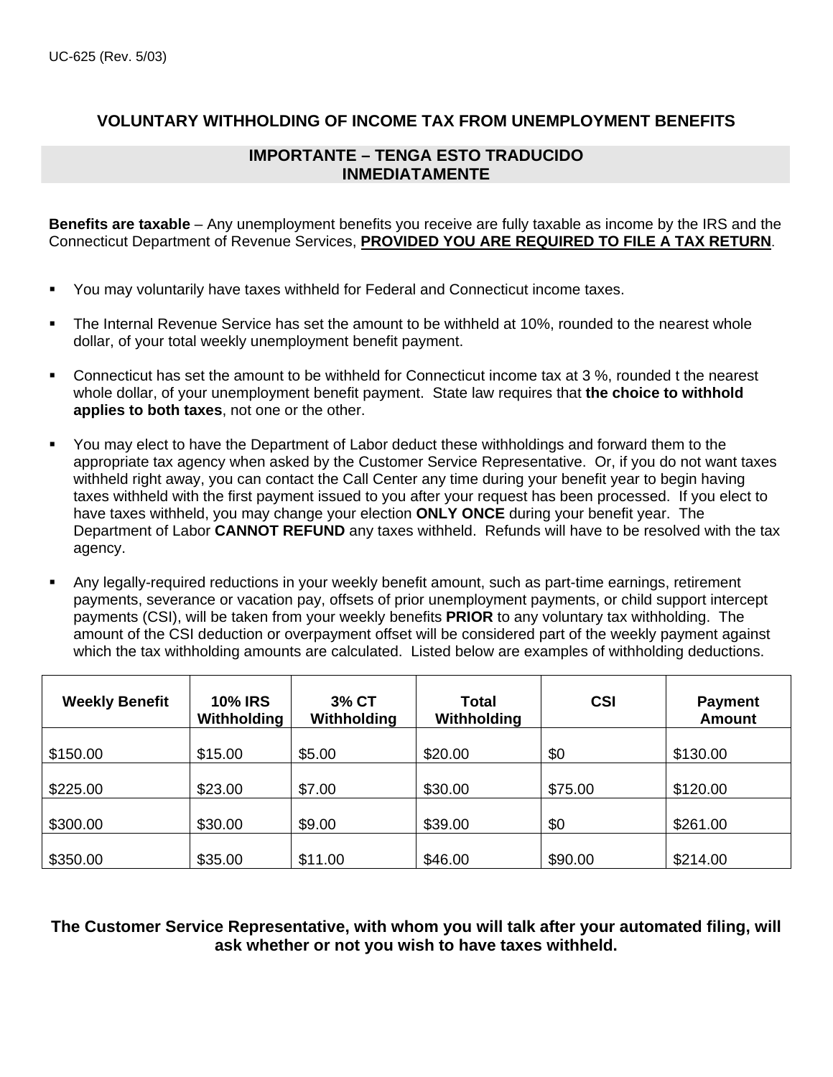# **VOLUNTARY WITHHOLDING OF INCOME TAX FROM UNEMPLOYMENT BENEFITS**

## **IMPORTANTE – TENGA ESTO TRADUCIDO INMEDIATAMENTE**

**Benefits are taxable** – Any unemployment benefits you receive are fully taxable as income by the IRS and the Connecticut Department of Revenue Services, **PROVIDED YOU ARE REQUIRED TO FILE A TAX RETURN**.

- You may voluntarily have taxes withheld for Federal and Connecticut income taxes.
- The Internal Revenue Service has set the amount to be withheld at 10%, rounded to the nearest whole dollar, of your total weekly unemployment benefit payment.
- Connecticut has set the amount to be withheld for Connecticut income tax at 3 %, rounded t the nearest whole dollar, of your unemployment benefit payment. State law requires that **the choice to withhold applies to both taxes**, not one or the other.
- You may elect to have the Department of Labor deduct these withholdings and forward them to the appropriate tax agency when asked by the Customer Service Representative. Or, if you do not want taxes withheld right away, you can contact the Call Center any time during your benefit year to begin having taxes withheld with the first payment issued to you after your request has been processed. If you elect to have taxes withheld, you may change your election **ONLY ONCE** during your benefit year. The Department of Labor **CANNOT REFUND** any taxes withheld. Refunds will have to be resolved with the tax agency.
- Any legally-required reductions in your weekly benefit amount, such as part-time earnings, retirement payments, severance or vacation pay, offsets of prior unemployment payments, or child support intercept payments (CSI), will be taken from your weekly benefits **PRIOR** to any voluntary tax withholding. The amount of the CSI deduction or overpayment offset will be considered part of the weekly payment against which the tax withholding amounts are calculated. Listed below are examples of withholding deductions.

| <b>Weekly Benefit</b> | <b>10% IRS</b><br>Withholding | 3% CT<br>Withholding | Total<br>Withholding | <b>CSI</b> | <b>Payment</b><br><b>Amount</b> |
|-----------------------|-------------------------------|----------------------|----------------------|------------|---------------------------------|
| \$150.00              | \$15.00                       | \$5.00               | \$20.00              | \$0        | \$130.00                        |
| \$225.00              | \$23.00                       | \$7.00               | \$30.00              | \$75.00    | \$120.00                        |
| \$300.00              | \$30.00                       | \$9.00               | \$39.00              | \$0        | \$261.00                        |
| \$350.00              | \$35.00                       | \$11.00              | \$46.00              | \$90.00    | \$214.00                        |

**The Customer Service Representative, with whom you will talk after your automated filing, will ask whether or not you wish to have taxes withheld.**